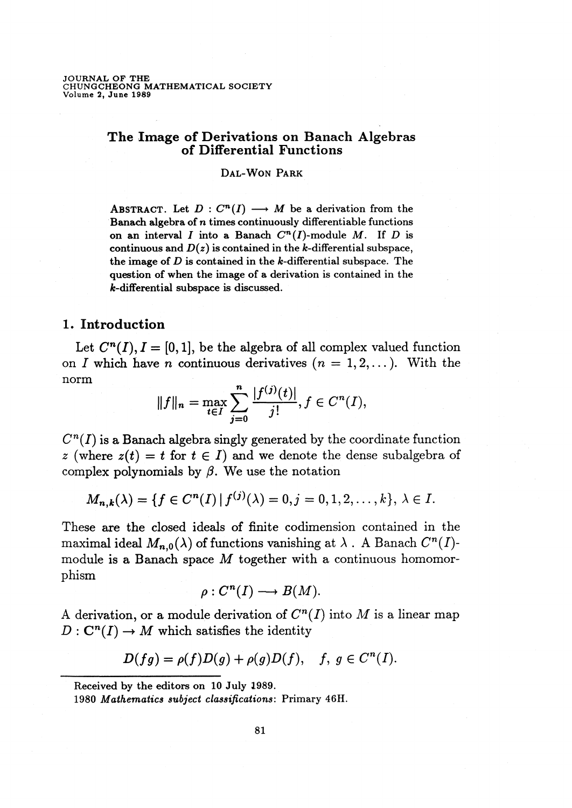# **The Image of Derivations on Banach Algebras of Differential Functions**

### Dal-Won Park

ABSTRACT. Let  $D: C^n(I) \longrightarrow M$  be a derivation from the Banach algebra of *n* times continuously differentiable functions on an interval *I* into a Banach  $C^n(I)$ -module *M*. If *D* is continuous and  $D(z)$  is contained in the  $k$ -differential subspace, the image of *D* is contained in the k-differential subspace. The question of when the image of a derivation is contained in the k-differential subspace is discussed.

# **1. Introduction**

Let  $C^n(I), I = [0,1]$ , be the algebra of all complex valued function on *I* which have *n* continuous derivatives  $(n = 1, 2, \ldots)$ . With the norm  $\|f\| = \max_{\|f\| = 1} \sum_{i=1}^n |f^{(i)}(t)| \leq f \leq C^n(I).$ 

$$
||f||_n = \max_{t \in I} \sum_{j=0}^n \frac{|f^{(j)}(t)|}{j!}, f \in C^n(I),
$$

 $C<sup>n</sup>(I)$  is a Banach algebra singly generated by the coordinate function  $z$  (where  $z(t) = t$  for  $t \in I$ ) and we denote the dense subalgebra of complex polynomials by  $\beta$ . We use the notation

$$
M_{n,k}(\lambda) = \{f \in C^n(I) | f^{(j)}(\lambda) = 0, j = 0, 1, 2, \ldots, k\}, \lambda \in I.
$$

These are the closed ideals of finite codimension contained in the maximal ideal  $M_{n,0}(\lambda)$  of functions vanishing at  $\lambda$ . A Banach  $C^n(I)$ module is a Banach space M together with a continuous homomorphism

$$
\rho: C^n(I) \longrightarrow B(M).
$$

A derivation, or a module derivation of  $C<sup>n</sup>(I)$  into M is a linear map  $D: \mathbb{C}^n(I) \to M$  which satisfies the identity

$$
D(fg) = \rho(f)D(g) + \rho(g)D(f), \quad f, g \in C^n(I).
$$

Received by the editors on 10 July 1989.

<sup>1980</sup> *Mathematics subject classifications:* Primary 46H.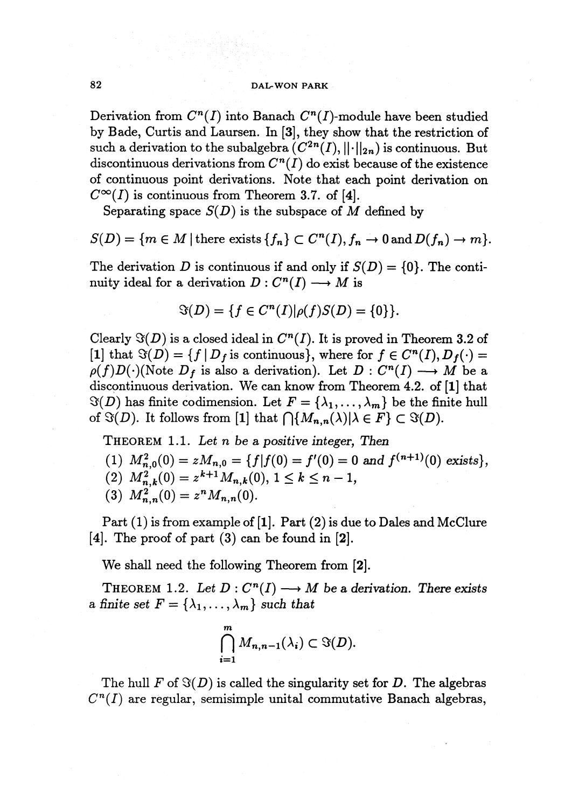## 82 **DAL-WON PARK**

Derivation from  $C^n(I)$  into Banach  $C^n(I)$ -module have been studied by Bade, Curtis and Laursen. In [3], they show that the restriction of such a derivation to the subalgebra  $(C^{2n}(I), ||\cdot||_{2n})$  is continuous. But discontinuous derivations from  $C<sup>n</sup>(I)$  do exist because of the existence of continuous point derivations. Note that each point derivation on  $C^{\infty}(I)$  is continuous from Theorem 3.7. of [4].

Separating space  $S(D)$  is the subspace of *M* defined by

 $S(D) = \{m \in M \mid \text{there exists } \{f_n\} \subset C^n(I), f_n \to 0 \text{ and } D(f_n) \to m\}.$ 

The derivation *D* is continuous if and only if  $S(D) = \{0\}$ . The continuity ideal for a derivation  $D: C^n(I) \longrightarrow M$  is

$$
\Im(D) = \{ f \in C^n(I) | \rho(f)S(D) = \{ 0 \} \}.
$$

Clearly  $\Im(D)$  is a closed ideal in  $C^n(I)$ . It is proved in Theorem 3.2 of [1] that  $\Im(D) = \{f \mid D_f \text{ is continuous}\},\$  where for  $f \in C^n(I), D_f(\cdot) =$  $\rho(f)D(\cdot)$ (Note  $D_f$  is also a derivation). Let  $D: C^n(I) \longrightarrow M$  be a discontinuous derivation. We can know from Theorem 4.2. of [1] that  $\Im(D)$  has finite codimension. Let  $F = {\lambda_1, \ldots, \lambda_m}$  be the finite hull of  $\Im(D)$ . It follows from [1] that  $\bigcap \{M_{n,n}(\lambda)| \lambda \in F\} \subset \Im(D)$ .

THEOREM 1.1. *Let n be a positive integer. Then*

- (1)  $M_{n,0}^2(0) = zM_{n,0} = \{f|f(0) = f'(0) = 0 \text{ and } f^{(n+1)}(0) \text{ exists}\},$
- (2)  $M_{n,k}^2(0) = z^{k+1} M_{n,k}(0), 1 \le k \le n-1,$ <br>
(3)  $M_{n,n}^2(0) = z^n M_{n,n}(0).$
- 

Part (1) is from example of [1]. Part (2) is due to Dales and McClure [4]. The proof of part  $(3)$  can be found in [2].

We shall need the following Theorem from [2].

THEOREM 1.2. Let  $D: C^n(I) \longrightarrow M$  be a derivation. There exists a finite set  $F = \{\lambda_1, \ldots, \lambda_m\}$  such that

$$
\bigcap_{i=1}^m M_{n,n-1}(\lambda_i) \subset \Im(D).
$$

The hull  $F$  of  $\Im(D)$  is called the singularity set for *D*. The algebras  $C<sup>n</sup>(I)$  are regular, semisimple unital commutative Banach algebras,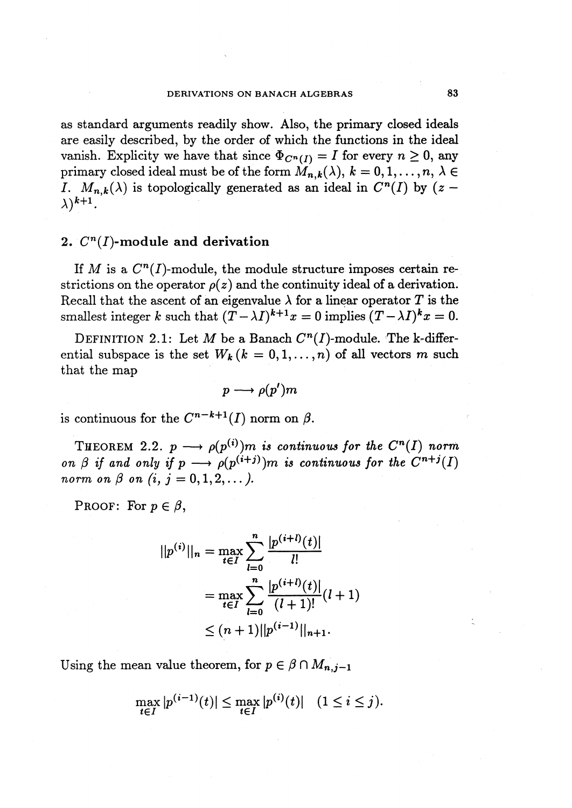as standard arguments readily show. Also, the primary closed ideals are easily described, by the order of which the functions in the ideal vanish. Explicity we have that since  $\Phi_{C^n(I)} = I$  for every  $n \geq 0$ , any primary closed ideal must be of the form  $M_{n,k}(\lambda), k=0,1,\ldots, n, \lambda \in$ *I.*  $M_{n,k}(\lambda)$  is topologically generated as an ideal in  $C^n(I)$  by  $(z \lambda$ )<sup>k+1</sup>.

## **2. Cn(I)-module and derivation**

If M is a  $C^n(I)$ -module, the module structure imposes certain restrictions on the operator  $\rho(z)$  and the continuity ideal of a derivation. Recall that the ascent of an eigenvalue  $\lambda$  for a linear operator *T* is the smallest integer *k* such that  $(\widetilde{T} - \lambda I)^{k+1}x = 0$  implies  $(T - \lambda I)^k x = 0$ .

DEFINITION 2.1: Let M be a Banach  $C<sup>n</sup>(I)$ -module. The k-differential subspace is the set  $W_k$   $(k = 0, 1, \ldots, n)$  of all vectors m such that the map

$$
p \longrightarrow \rho(p')m
$$

is continuous for the  $C^{n-k+1}(I)$  norm on  $\beta$ .

THEOREM 2.2.  $p \longrightarrow \rho(p^{(i)})m$  is continuous for the  $C^n(I)$  norm *on*  $\beta$  *if* and only if  $p \longrightarrow \rho(p^{(i+j)})m$  *is continuous for the*  $C^{n+j}(I)$ *norm on*  $\beta$  *on*  $(i, j = 0, 1, 2, ...).$ 

PROOF: For  $p \in \beta$ ,

$$
||p^{(i)}||_n = \max_{t \in I} \sum_{l=0}^n \frac{|p^{(i+l)}(t)|}{l!}
$$
  
= 
$$
\max_{t \in I} \sum_{l=0}^n \frac{|p^{(i+l)}(t)|}{(l+1)!} (l+1)
$$
  

$$
\leq (n+1) ||p^{(i-1)}||_{n+1}.
$$

Using the mean value theorem, for  $p \in \beta \cap M_{n,j-1}$ 

$$
\max_{t \in I} |p^{(i-1)}(t)| \le \max_{t \in I} |p^{(i)}(t)| \quad (1 \le i \le j).
$$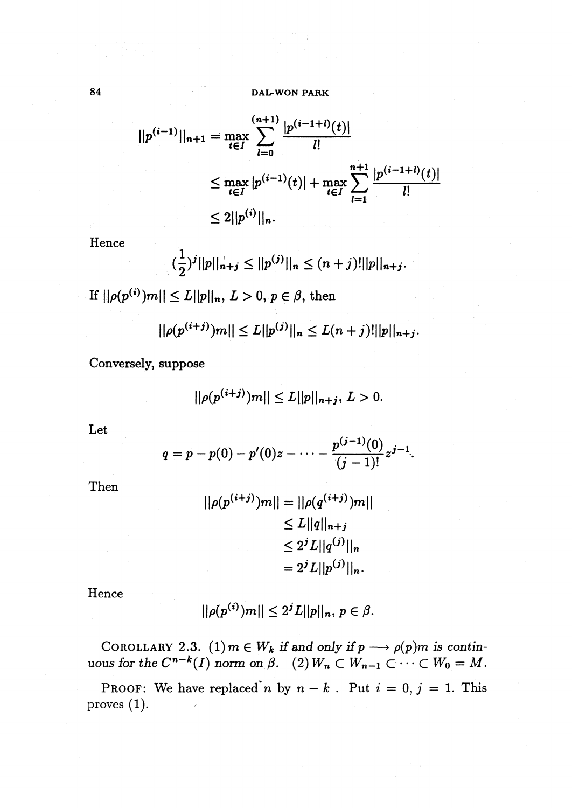$$
||p^{(i-1)}||_{n+1} = \max_{t \in I} \sum_{l=0}^{(n+1)} \frac{|p^{(i-1+l)}(t)|}{l!}
$$
  

$$
\leq \max_{t \in I} |p^{(i-1)}(t)| + \max_{t \in I} \sum_{l=1}^{n+1} \frac{|p^{(i-1+l)}(t)|}{l!}
$$
  

$$
\leq 2||p^{(i)}||_{n}.
$$

Hence

$$
(\frac{1}{2})^j ||p||_{n+j} \le ||p^{(j)}||_n \le (n+j)! ||p||_{n+j}.
$$

If  $||\rho(p^{(i)})m|| \le L||p||_n$ ,  $L > 0$ ,  $p \in \beta$ , then

 $||\rho(p^{(i+j)})m|| \leq L||p^{(j)}||_n \leq L(n+j) ||p||_{n+j}.$ 

Conversely, suppose

$$
||\rho(p^{(i+j)})m|| \le L||p||_{n+j}, L > 0.
$$

Let

$$
q = p - p(0) - p'(0)z - \cdots - \frac{p^{(j-1)}(0)}{(j-1)!}z^{j-1}.
$$

Then

$$
||\rho(p^{(i+j)})m|| = ||\rho(q^{(i+j)})m||
$$
  
\n
$$
\leq L||q||_{n+j}
$$
  
\n
$$
\leq 2^{j}L||q^{(j)}||_{n}
$$
  
\n
$$
= 2^{j}L||p^{(j)}||_{n}.
$$

Hence

$$
||\rho(p^{(i)})m|| \le 2^jL||p||_n, p \in \beta.
$$

COROLLARY 2.3. (1)  $m \in W_k$  *if* and only *if*  $p \longrightarrow \rho(p)m$  *is contin-* $\mu$  *uous* for the  $C^{n-k}(I)$  norm on  $\beta$ .  $(2)$   $W_n \subset W_{n-1} \subset \cdots \subset W_0 = M.$ 

PROOF: We have replaced *n* by  $n - k$ . Put  $i = 0, j = 1$ . This proves  $(1)$ .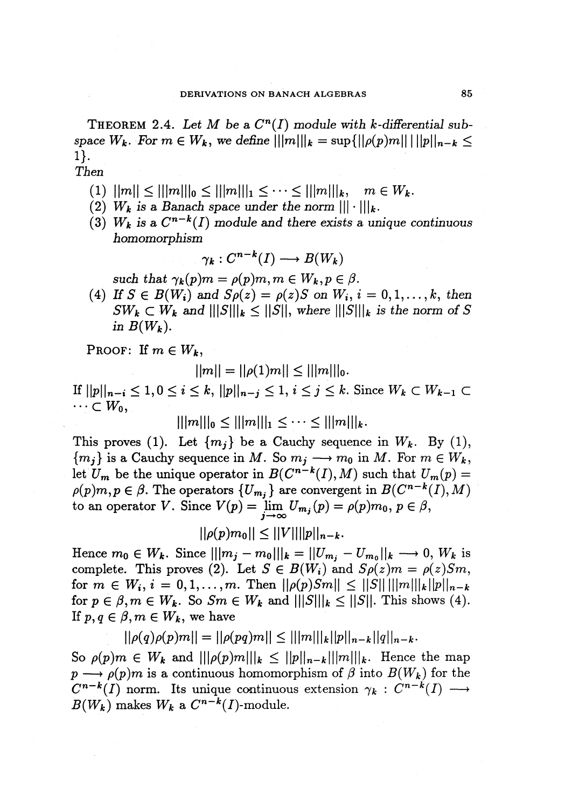**THEOREM** 2.4. Let M be a  $C^n(I)$  module with k-differential sub*space*  $W_k$ . For  $m \in W_k$ , we define  $|||m|||_k = \sup\{||\rho(p)m|| \, |||p||_{n-k} \leq k \}$ 1}.

*Then*

- (1)  $||m|| \leq |||m|||_0 \leq |||m|||_1 \leq \cdots \leq |||m|||_k$ ,  $m \in W_k$ .
- (2)  $W_k$  *is a Banach space under the norm*  $||| \cdot |||_k$ .
- (3)  $W_k$  *is* a  $C^{n-k}(I)$  *module* and *there exists* a *unique continuous homomorphism*

$$
\gamma_k: C^{n-k}(I) \longrightarrow B(W_k)
$$

*such that*  $\gamma_k(p)m = \rho(p)m, m \in W_k, p \in \beta$ .

(4) *If*  $S \in B(W_i)$  *and*  $S\rho(z) = \rho(z)S$  *on*  $W_i$ ,  $i = 0, 1, ..., k$ , then  $SW_k \subset W_k$  and  $\| |S| \|_k \leq \| |S| \|$ , where  $\| |S| \|_k$  is the norm of S *in*  $B(W_k)$ .

PROOF: If  $m \in W_k$ ,

 $||m|| = ||\rho(1)m|| \leq |||m|||_0.$ 

If  $||p||_{n-i} \leq 1, 0 \leq i \leq k$ ,  $||p||_{n-j} \leq 1, i \leq j \leq k$ . Since  $W_k \subset W_{k-1} \subset$  $\cdots \subset W_0$ ,

$$
|||m|||_0 \leq |||m|||_1 \leq \cdots \leq |||m|||_k.
$$

This proves (1). Let  $\{m_i\}$  be a Cauchy sequence in  $W_k$ . By (1),  ${m_i}$  is a Cauchy sequence in *M*. So  $m_i \longrightarrow m_0$  in *M*. For  $m \in W_k$ , let  $U_m$  be the unique operator in  $B(C^{n-k}(I), M)$  such that  $U_m(p) =$  $\rho(p)m, p \in \beta$ . The operators  $\{U_{m_j}\}\$ are convergent in  $B(C^{n-k}(I), M)$ to an operator *V*. Since  $V(p) = \lim_{j \to \infty} U_{m_j}(p) = \rho(p)m_0, p \in \beta$ ,

$$
||\rho(p)m_0|| \leq ||V|| ||p||_{n-k}.
$$

Hence  $m_0 \in W_k$ . Since  $|||m_j - m_0|||_k = ||U_{m_j} - U_{m_0}||_k \longrightarrow 0$ ,  $W_k$  is complete. This proves (2). Let  $S \in B(W_i)$  and  $S(\rho(z)) = \rho(z)S_m$ , for  $m \in W_i$ ,  $i = 0, 1, ..., m$ . Then  $||\rho(p)Sm|| \leq ||S|| \, ||m||_{k} ||p||_{n-k}$ for  $p \in \beta, m \in W_k$ . So  $Sm \in W_k$  and  $|||S|||_k \leq ||S||$ . This shows (4). If  $p, q \in \beta, m \in W_k$ , we have

$$
||\rho(q)\rho(p)m|| = ||\rho(pq)m|| \leq |||m|||_{k}||p||_{n-k}||q||_{n-k}.
$$

So  $\rho(p)m \in W_k$  and  $\| |\rho(p)m|||_k \leq \|p\|_{n-k}\| \|m\|_k$ . Hence the map  $p \longrightarrow \rho(p)m$  is a continuous homomorphism of  $\beta$  into  $B(W_k)$  for the  $C^{n-k}(I)$  norm. Its unique continuous extension  $\gamma_k : C^{n-k}(I) \longrightarrow$  $B(W_k)$  makes  $W_k$  a  $C^{n-k}(I)$ -module.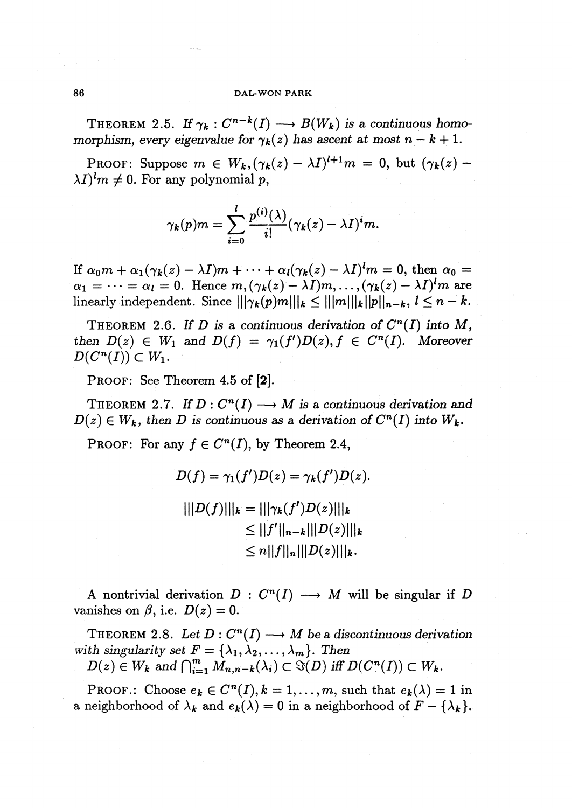### 86 **DAL-WON PARK**

THEOREM 2.5. If  $\gamma_k : C^{n-k}(I) \longrightarrow B(W_k)$  is a continuous homo*morphism, every eigenvalue for*  $\gamma_k(z)$  *has ascent at most*  $n - k + 1$ .

PROOF: Suppose  $m \in W_k, (\gamma_k(z) - \lambda I)^{l+1}m = 0$ , but  $(\gamma_k(z) \lambda I$ <sup>*l*</sup> $m \neq 0$ . For any polynomial p,

$$
\gamma_k(p)m = \sum_{i=0}^l \frac{p^{(i)}(\lambda)}{i!} (\gamma_k(z) - \lambda I)^i m.
$$

If  $\alpha_0 m + \alpha_1(\gamma_k(z) - \lambda I)m + \cdots + \alpha_l(\gamma_k(z) - \lambda I)^l m = 0$ , then  $\alpha_0 =$  $\alpha_1 = \cdots = \alpha_l = 0$ . Hence  $m, (\gamma_k(z) - \lambda I)m, \ldots, (\gamma_k(z) - \lambda I)^l m$  are linearly independent. Since  $\left|\|\gamma_k(p)m\|\right|_k \leq \left|\|m\|\right|_k \|\|p\|_{n-k}, 1 \leq n-k.$ 

THEOREM 2.6. If *D* is a continuous derivation of  $C^n(I)$  into  $M$ , *then*  $D(z) \in W_1$  *and*  $D(f) = \gamma_1(f')D(z), f \in C^n(I)$ . *Moreover*  $D(C^n(I))\subset W_1.$ 

PROOF: See Theorem 4.5 of **[2].**

THEOREM 2.7. If  $D: C^n(I) \longrightarrow M$  is a continuous derivation and  $D(z) \in W_k$ , then D is continuous as a derivation of  $C^n(I)$  into  $W_k$ .

PROOF: For any  $f \in C^n(I)$ , by Theorem 2.4,

$$
D(f) = \gamma_1(f')D(z) = \gamma_k(f')D(z).
$$
  
 
$$
|||D(f)|||_{k} = |||\gamma_k(f')D(z)|||_{k}
$$
  
 
$$
\leq ||f'||_{n-k}|||D(z)|||_{k}
$$
  
 
$$
\leq n||f||_{n}|||D(z)|||_{k}.
$$

A nontrivial derivation  $D: C^n(I) \longrightarrow M$  will be singular if *D* vanishes on  $\beta$ , i.e.  $D(z) = 0$ .

THEOREM 2.8. Let  $D: C^n(I) \longrightarrow M$  be a discontinuous derivation *with singularity set*  $F = {\lambda_1, \lambda_2, ..., \lambda_m}$ . *Then* 

 $D(z) \in W_k$  and  $\bigcap_{i=1}^m M_{n,n-k}(\lambda_i) \subset \Im(D)$  iff  $D(C^n(I)) \subset W_k$ .

PROOF.: Choose  $e_k \in C^n(I), k=1,\ldots,m$ , such that  $e_k(\lambda) = 1$  in a neighborhood of  $\lambda_k$  and  $e_k(\lambda) = 0$  in a neighborhood of  $F - {\lambda_k}$ .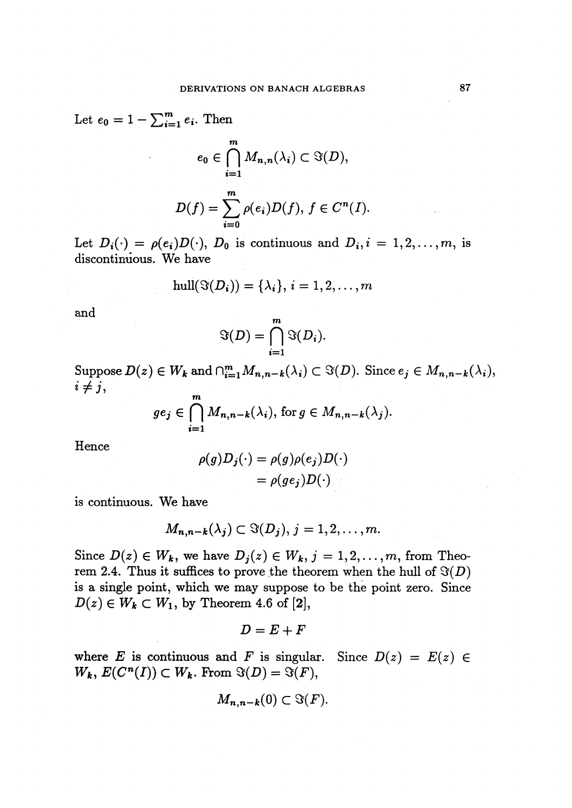Let  $e_0 = 1 - \sum_{i=1}^{m} e_i$ . Then

$$
e_0 \in \bigcap_{i=1}^m M_{n,n}(\lambda_i) \subset \Im(D),
$$
  

$$
D(f) = \sum_{i=0}^m \rho(e_i)D(f), \ f \in C^n(I).
$$

Let  $D_i(\cdot) = \rho(e_i)D(\cdot)$ ,  $D_0$  is continuous and  $D_i, i = 1, 2, \ldots, m$ , is discontinuous. We have

$$
\operatorname{hull}(\Im(D_i)) = \{\lambda_i\}, i = 1, 2, \ldots, m
$$

and

$$
\Im(D) = \bigcap_{i=1}^m \Im(D_i).
$$

 $i \neq j$ , Suppose  $D(z) \in W_k$  and  $\bigcap_{i=1}^m M_{n,n-k}(\lambda_i) \subset \Im(D)$ . Since  $e_j \in M_{n,n-k}(\lambda_i)$ , *m*

$$
ge_j \in \bigcap_{i=1}^{\infty} M_{n,n-k}(\lambda_i)
$$
, for  $g \in M_{n,n-k}(\lambda_j)$ .

Hence

$$
\rho(g)D_j(\cdot) = \rho(g)\rho(e_j)D(\cdot) \n= \rho(ge_j)D(\cdot)
$$

is continuous. We have

$$
M_{n,n-k}(\lambda_j)\subset \Im(D_j),\,j=1,2,\ldots,m.
$$

Since  $D(z) \in W_k$ , we have  $D_j(z) \in W_k$ ,  $j = 1, 2, ..., m$ , from Theorem 2.4. Thus it suffices to prove the theorem when the hull of  $\Im(D)$ is a single point, which we may suppose to be the point zero. Since  $D(z) \in W_k \subset W_1$ , by Theorem 4.6 of [2],

$$
D=E+F
$$

where *E* is continuous and *F* is singular. Since  $D(z) = E(z) \in$  $W_k$ ,  $E(C^n(I)) \subset W_k$ . From  $\Im(D) = \Im(F)$ ,

$$
M_{n,n-k}(0) \subset \Im(F).
$$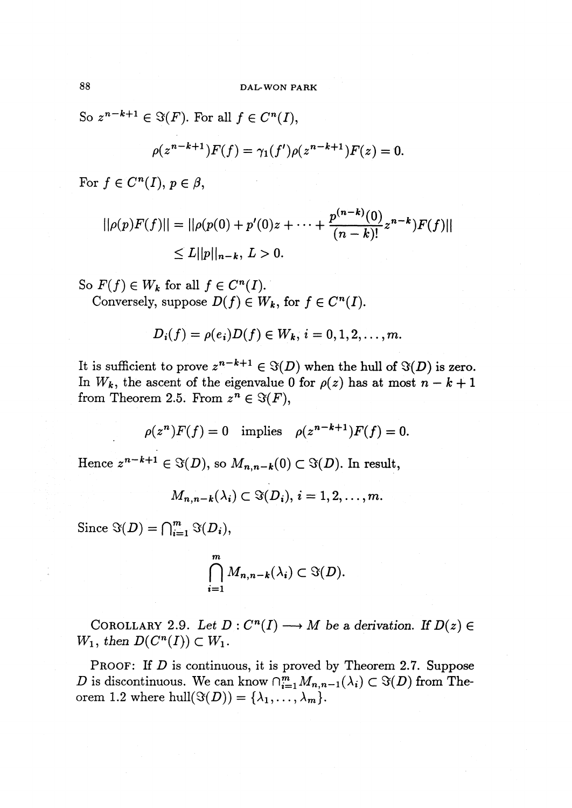So  $z^{n-k+1} \in \Im(F)$ . For all  $f \in C^n(I)$ ,

$$
\rho(z^{n-k+1})F(f) = \gamma_1(f')\rho(z^{n-k+1})F(z) = 0.
$$

For  $f \in C^n(I)$ ,  $p \in \beta$ ,

$$
||\rho(p)F(f)|| = ||\rho(p(0) + p'(0)z + \dots + \frac{p^{(n-k)}(0)}{(n-k)!}z^{n-k})F(f)||
$$
  
\$\le L||p||\_{n-k}, L > 0.

So  $F(f) \in W_k$  for all  $f \in C^n(I)$ . Conversely, suppose  $D(f) \in W_k$ , for  $f \in C^n(I)$ .

$$
D_i(f) = \rho(e_i)D(f) \in W_k, i = 0, 1, 2, \ldots, m.
$$

It is sufficient to prove  $z^{n-k+1} \in \Im(D)$  when the hull of  $\Im(D)$  is zero. In  $W_k$ , the ascent of the eigenvalue 0 for  $\rho(z)$  has at most  $n - k + 1$ from Theorem 2.5. From  $z^n \in \Im(F)$ ,

$$
\rho(z^n)F(f) = 0 \quad \text{implies} \quad \rho(z^{n-k+1})F(f) = 0.
$$

Hence  $z^{n-k+1} \in \Im(D)$ , so  $M_{n,n-k}(0) \subset \Im(D)$ . In result,

$$
M_{n,n-k}(\lambda_i) \subset \Im(D_i), i=1,2,\ldots,m.
$$

Since  $\Im(D) = \bigcap_{i=1}^m \Im(D_i),$ 

$$
\bigcap_{i=1}^m M_{n,n-k}(\lambda_i) \subset \Im(D).
$$

COROLLARY 2.9. Let  $D: C^n(I) \longrightarrow M$  be a derivation. If  $D(z) \in$  $W_1$ , then  $D(C^n(I))\subset W_1$ .

PROOF: If *D* is continuous, it is proved by Theorem 2.7. Suppose *D* is discontinuous. We can know  $\bigcap_{i=1}^{m} M_{n,n-1}(\lambda_i) \subset \Im(D)$  from Theorem 1.2 where hull $(\Im(D)) = {\lambda_1, \ldots, \lambda_m}.$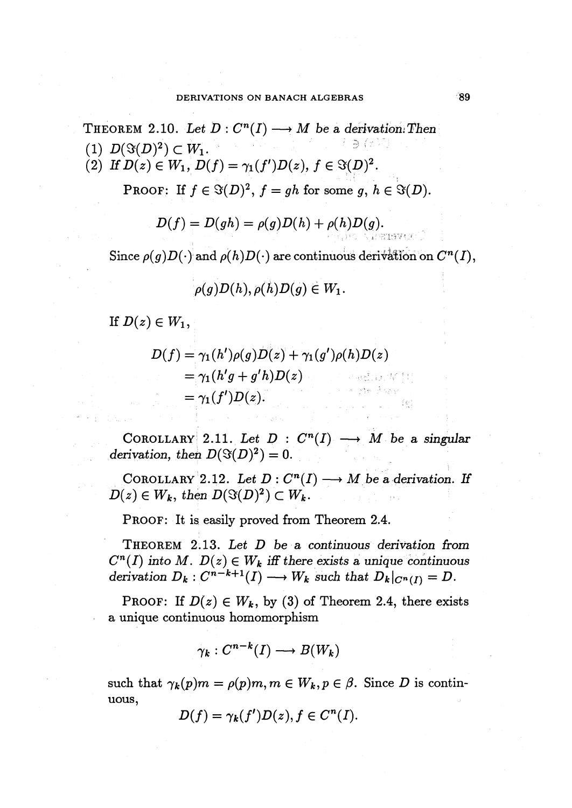THEOREM 2.10. Let  $D: C^n(I) \longrightarrow M$  be a derivation: Then (1)  $D(\Im(D)^2) \subset W_1$ . (2) If  $D(z) \in W_1$ ,  $D(f) = \gamma_1(f')D(z)$ ,  $f \in \Im(D)^2$ .

 $\mathcal{L} = \mathcal{L} \left( \mathbf{r} \right) \mathbf{r} \left( \mathbf{r} \right)$ 

PROOF: If  $f \in \mathcal{G}(D)^2$ ,  $f = gh$  for some *g*,  $h \in \mathcal{G}(D)$ .

$$
D(f) = D(gh) = \rho(g)D(h) + \rho(h)D(g).
$$

Since  $\rho(g)D(\cdot)$  and  $\rho(h)D(\cdot)$  are continuous derivation on  $C^n(I)$ ,

$$
\rho(g)D(h), \rho(h)D(g) \in W_1.
$$

If  $D(z) \in W_1$ ,

$$
D(f) = \gamma_1(h')\rho(g)D(z) + \gamma_1(g')\rho(h)D(z)
$$
  
=  $\gamma_1(h'g + g'h)D(z)$   
=  $\gamma_1(f')D(z)$ .

COROLLARY 2.11. Let  $D: C^n(I) \longrightarrow M$  be a singular *derivation, then*  $D(\Im(D)^2) = 0$ .

COROLLARY 2.12. Let  $D: C^n(I) \longrightarrow M$  be a derivation. If  $D(z) \in W_k$ , then  $D(\Im(D)^2) \subset W_k$ .

PROOF: It is easily proved from Theorem 2.4.

THEOREM 2.13. *Let D be a continuous derivation from*  $C^n(I)$  *into*  $M$ *.*  $D(z) \in W_k$  *iff there exists a unique continuous derivation*  $D_k: C^{n-k+1}(I) \longrightarrow W_k$  *such that*  $D_k|_{C^n(I)} = D$ .

**PROOF:** If  $D(z) \in W_k$ , by (3) of Theorem 2.4, there exists a unique continuous homomorphism

$$
\gamma_k: C^{n-k}(I) \longrightarrow B(W_k)
$$

such that  $\gamma_k(p)m = \rho(p)m, m \in W_k, p \in \beta$ . Since D is continuous,

$$
D(f) = \gamma_k(f')D(z), f \in C^n(I).
$$